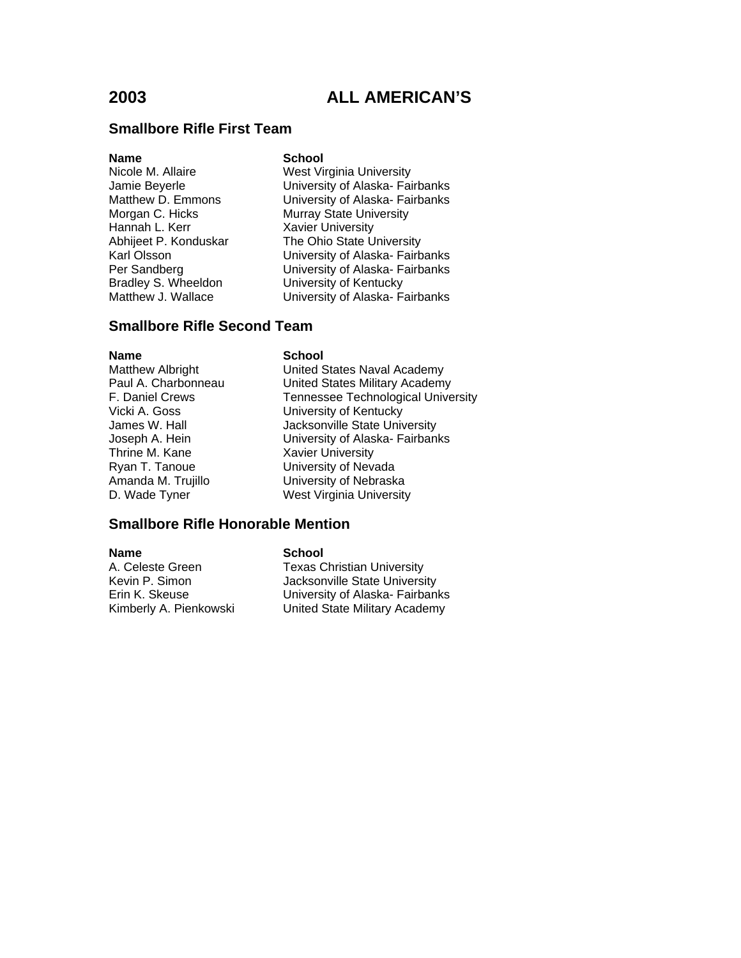### **Smallbore Rifle First Team**

### **Name** School

Hannah L. Kerr **Xavier University**<br>Abhiieet P. Konduskar **M. The Ohio State U** 

Nicole M. Allaire West Virginia University Jamie Beyerle **University of Alaska- Fairbanks**<br>Matthew D. Emmons **University of Alaska- Fairbanks** University of Alaska- Fairbanks Morgan C. Hicks Murray State University The Ohio State University Karl Olsson University of Alaska- Fairbanks Per Sandberg University of Alaska- Fairbanks<br>Bradley S. Wheeldon University of Kentucky **University of Kentucky** Matthew J. Wallace **University of Alaska- Fairbanks** 

## **Smallbore Rifle Second Team**

**Name** School<br>Matthew Albright **School**<br>United S Ryan T. Tanoue University of Nevada

United States Naval Academy Paul A. Charbonneau **United States Military Academy** F. Daniel Crews Tennessee Technological University<br>
Vicki A. Goss Christian University of Kentucky University of Kentucky James W. Hall **Jacksonville State University** Joseph A. Hein **University of Alaska- Fairbanks**<br>
Thrine M. Kane **M. Harton Contains** Xavier University **Xavier University** Amanda M. Trujillo **Channel Christian University of Nebraska** D. Wade Tyner West Virginia University

## **Smallbore Rifle Honorable Mention**

**Name** School

A. Celeste Green Texas Christian University<br>
Kevin P. Simon Texas Christian University Jacksonville State University Erin K. Skeuse University of Alaska- Fairbanks Kimberly A. Pienkowski United State Military Academy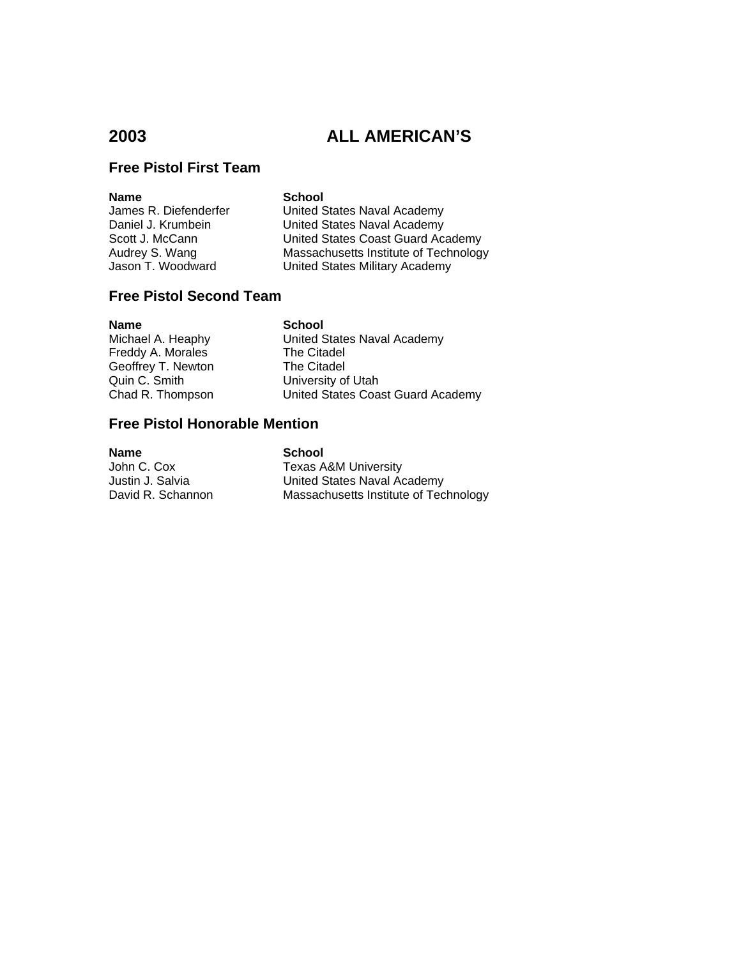## **Free Pistol First Team**

**Name School**<br>James R. Diefenderfer **School** 

United States Naval Academy Daniel J. Krumbein **United States Naval Academy**<br>Scott J. McCann **United States Coast Guard Ac** United States Coast Guard Academy Audrey S. Wang Massachusetts Institute of Technology<br>
Jason T. Woodward United States Military Academy United States Military Academy

## **Free Pistol Second Team**

**Name School**<br>Michael A. Heaphy **School** Freddy A. Morales The Citadel<br>Geoffrey T. Newton The Citadel Geoffrey T. Newton Quin C. Smith University of Utah

United States Naval Academy Chad R. Thompson United States Coast Guard Academy

## **Free Pistol Honorable Mention**

**Name**<br> **School**<br> **John C. Cox**<br> **School**<br> **Texas A** Texas A&M University Justin J. Salvia **Machon States Naval Academy**<br>
David R. Schannon Massachusetts Institute of Tec Massachusetts Institute of Technology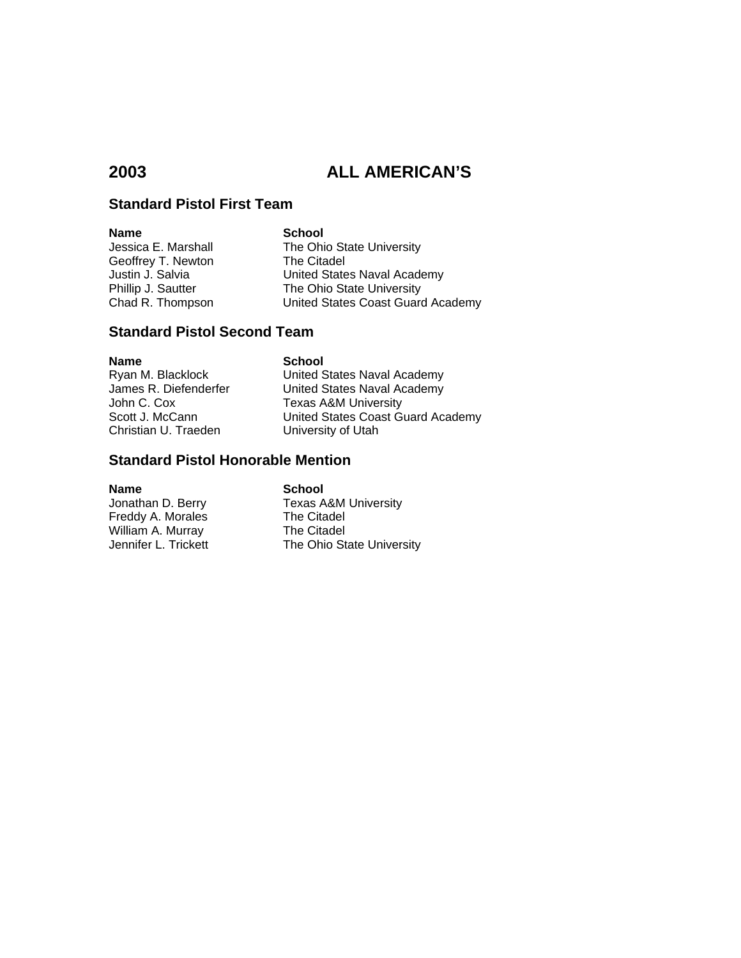## **Standard Pistol First Team**

**Name** School<br>
Jessica E. Marshall **School**<br>
The Ohi Geoffrey T. Newton

The Ohio State University<br>The Citadel Justin J. Salvia **United States Naval Academy**<br>
Phillip J. Sautter The Ohio State University Phillip J. Sautter The Ohio State University<br>
Chad R. Thompson United States Coast Guard United States Coast Guard Academy

### **Standard Pistol Second Team**

**Name School**<br> **Ryan M. Blacklock Channel United S** 

Ryan M. Blacklock **Value Community United States Naval Academy**<br>James R. Diefenderfer **M. United States Naval Academy** United States Naval Academy John C. Cox **Texas A&M University**<br>Scott J. McCann **Texas A&M United States Coast Go** Scott J. McCann **Diges United States Coast Guard Academy**<br>
Christian U. Traeden **University of Utah** University of Utah

### **Standard Pistol Honorable Mention**

**Name**<br> **School**<br> **School**<br> **School**<br> **School**<br> **School**<br> **School**<br> **School** Freddy A. Morales William A. Murray The Citadel<br>Jennifer L. Trickett The Ohio St

Texas A&M University<br>The Citadel The Ohio State University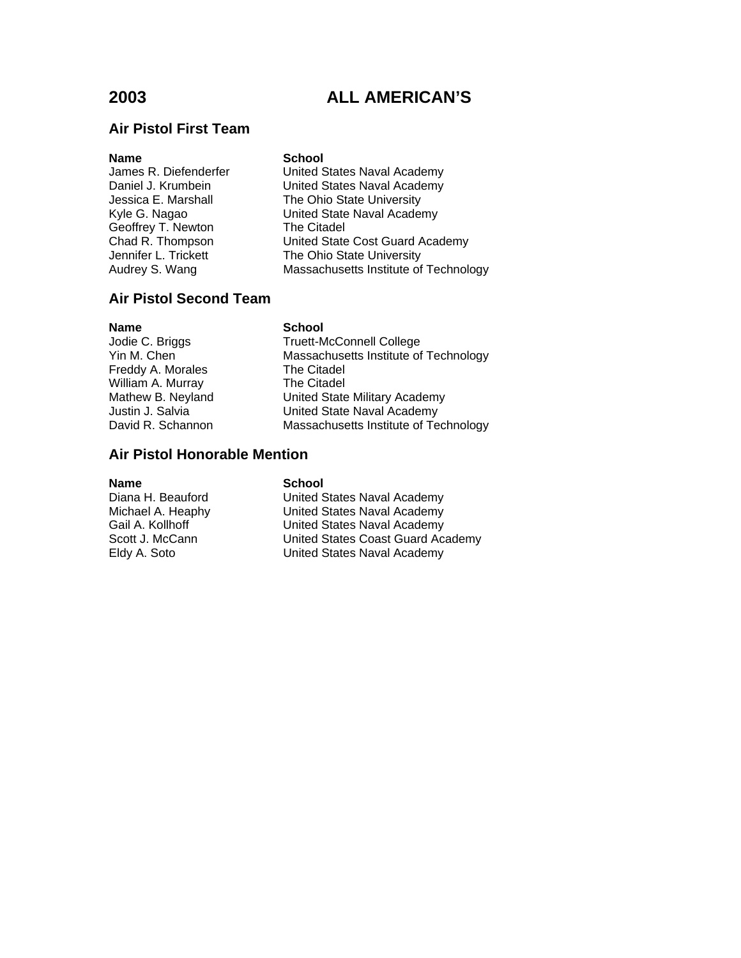## **Air Pistol First Team**

| <b>Name</b><br>James R. Diefenderfer<br>Daniel J. Krumbein<br>Jessica E. Marshall<br>Kyle G. Nagao<br>Geoffrey T. Newton<br>Chad R. Thompson | <b>School</b><br>United States Naval Academy<br>United States Naval Academy<br>The Ohio State University<br>United State Naval Academy<br>The Citadel<br>United State Cost Guard Academy |
|----------------------------------------------------------------------------------------------------------------------------------------------|------------------------------------------------------------------------------------------------------------------------------------------------------------------------------------------|
| Jennifer L. Trickett                                                                                                                         | The Ohio State University                                                                                                                                                                |
| Audrey S. Wang                                                                                                                               | Massachusetts Institute of Technology                                                                                                                                                    |

## **Air Pistol Second Team**

**Name**<br> **School**<br> **School**<br> **School**<br> **School**<br> **School**<br> **School** Freddy A. Morales William A. Murray The Citadel

Truett-McConnell College Yin M. Chen Massachusetts Institute of Technology<br>
Freddy A. Morales The Citadel Mathew B. Neyland United State Military Academy<br>
United State Naval Academy<br>
United State Naval Academy United State Naval Academy David R. Schannon Massachusetts Institute of Technology

## **Air Pistol Honorable Mention**

**Name School**<br>Diana H. Beauford **School** 

United States Naval Academy Michael A. Heaphy United States Naval Academy Gail A. Kollhoff **Cail A. Kollhoff** United States Naval Academy<br>Scott J. McCann United States Coast Guard Aca United States Coast Guard Academy Eldy A. Soto United States Naval Academy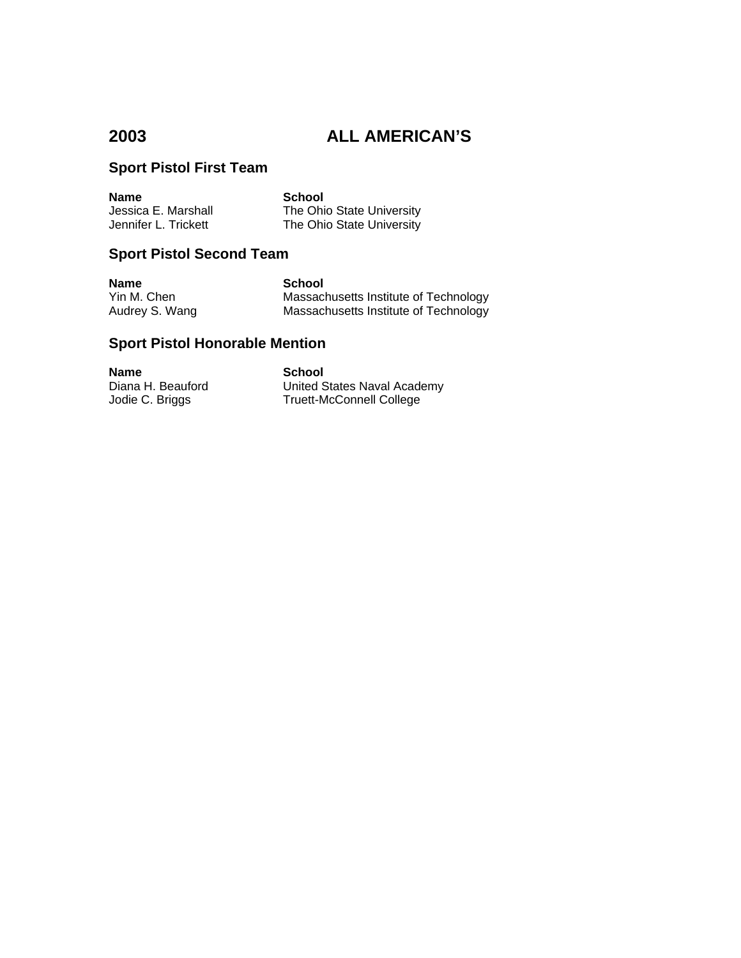## **Sport Pistol First Team**

| <b>Name</b>          | School                    |
|----------------------|---------------------------|
| Jessica E. Marshall  | The Ohio State University |
| Jennifer L. Trickett | The Ohio State University |

## **Sport Pistol Second Team**

**Name**<br> **School**<br> **Yin M. Chen**<br> **School**<br> **Massacl** 

Massachusetts Institute of Technology Audrey S. Wang **Massachusetts Institute of Technology** 

## **Sport Pistol Honorable Mention**

**Name School**<br>
Diana H. Beauford **School Compare School** 

United States Naval Academy Jodie C. Briggs Truett-McConnell College